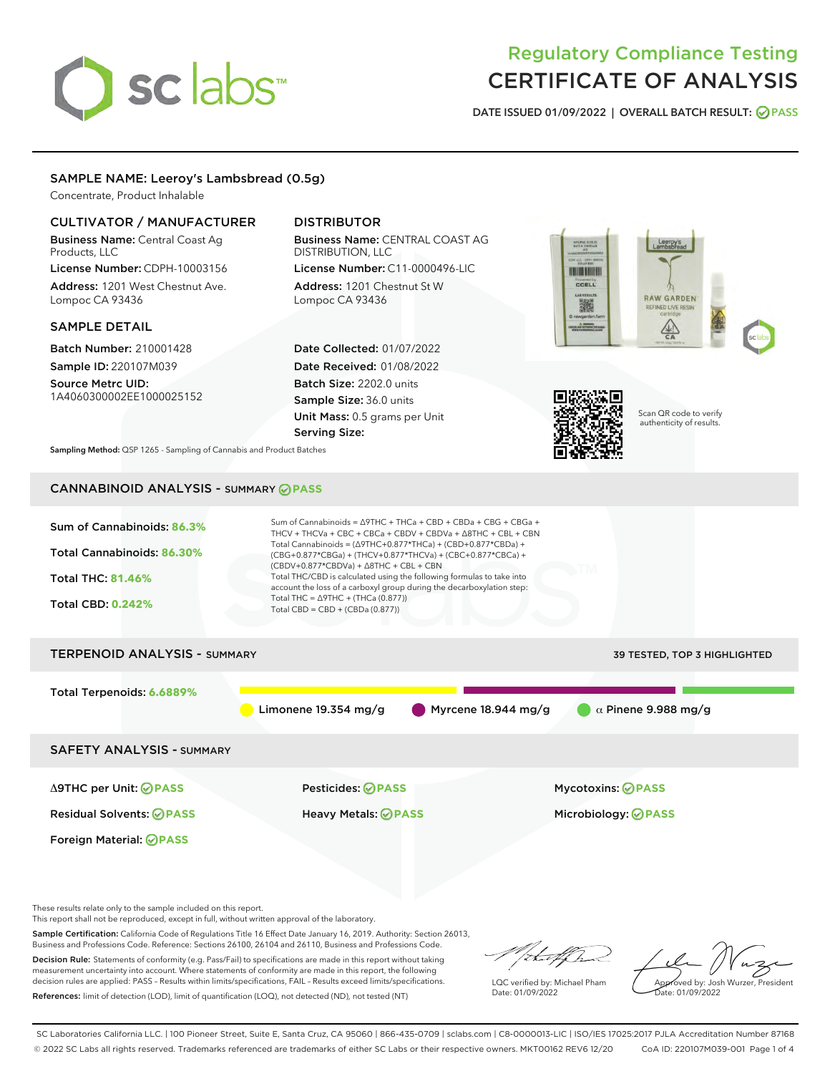# sclabs

# Regulatory Compliance Testing CERTIFICATE OF ANALYSIS

DATE ISSUED 01/09/2022 | OVERALL BATCH RESULT: @ PASS

# SAMPLE NAME: Leeroy's Lambsbread (0.5g)

Concentrate, Product Inhalable

# CULTIVATOR / MANUFACTURER

Business Name: Central Coast Ag Products, LLC License Number: CDPH-10003156

Address: 1201 West Chestnut Ave. Lompoc CA 93436

# SAMPLE DETAIL

Batch Number: 210001428 Sample ID: 220107M039

Source Metrc UID: 1A4060300002EE1000025152

# DISTRIBUTOR

Business Name: CENTRAL COAST AG DISTRIBUTION, LLC

License Number: C11-0000496-LIC Address: 1201 Chestnut St W Lompoc CA 93436

Date Collected: 01/07/2022 Date Received: 01/08/2022 Batch Size: 2202.0 units Sample Size: 36.0 units Unit Mass: 0.5 grams per Unit Serving Size:





Scan QR code to verify authenticity of results.

Sampling Method: QSP 1265 - Sampling of Cannabis and Product Batches

# CANNABINOID ANALYSIS - SUMMARY **PASS**



These results relate only to the sample included on this report.

This report shall not be reproduced, except in full, without written approval of the laboratory.

Sample Certification: California Code of Regulations Title 16 Effect Date January 16, 2019. Authority: Section 26013, Business and Professions Code. Reference: Sections 26100, 26104 and 26110, Business and Professions Code.

Decision Rule: Statements of conformity (e.g. Pass/Fail) to specifications are made in this report without taking measurement uncertainty into account. Where statements of conformity are made in this report, the following decision rules are applied: PASS – Results within limits/specifications, FAIL – Results exceed limits/specifications. References: limit of detection (LOD), limit of quantification (LOQ), not detected (ND), not tested (NT)

that f h

LQC verified by: Michael Pham Date: 01/09/2022

Approved by: Josh Wurzer, President ate: 01/09/2022

SC Laboratories California LLC. | 100 Pioneer Street, Suite E, Santa Cruz, CA 95060 | 866-435-0709 | sclabs.com | C8-0000013-LIC | ISO/IES 17025:2017 PJLA Accreditation Number 87168 © 2022 SC Labs all rights reserved. Trademarks referenced are trademarks of either SC Labs or their respective owners. MKT00162 REV6 12/20 CoA ID: 220107M039-001 Page 1 of 4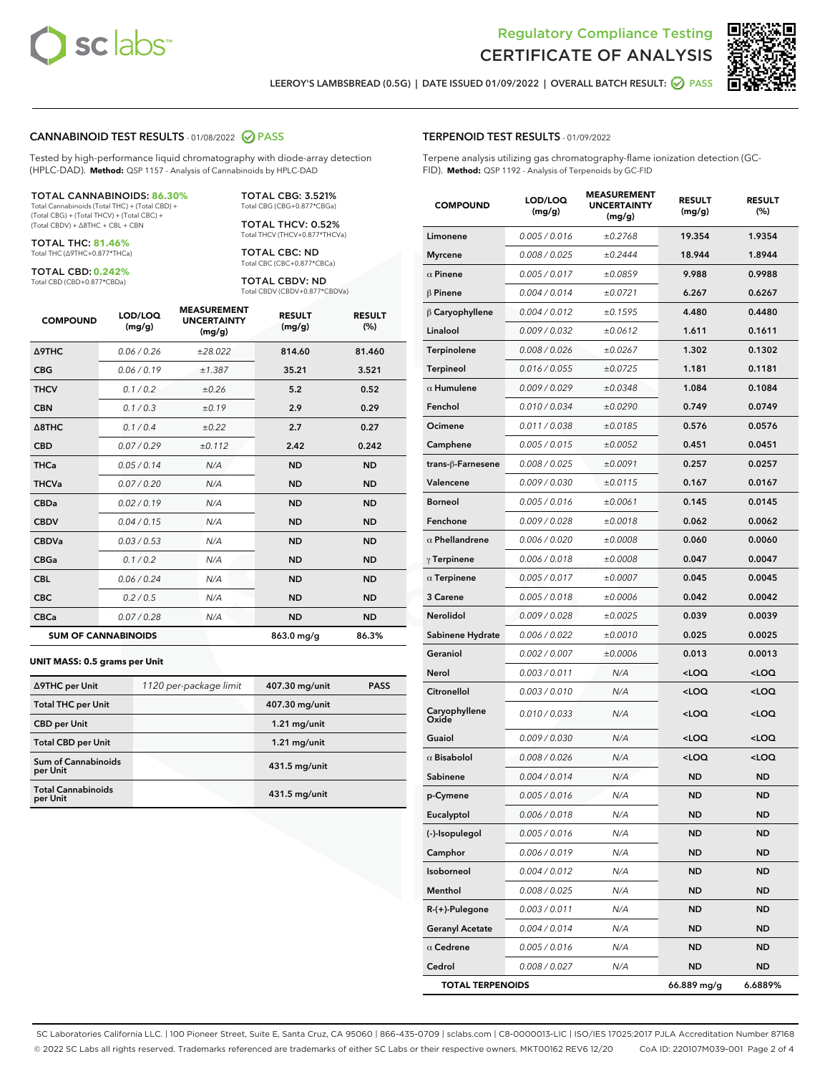



LEEROY'S LAMBSBREAD (0.5G) | DATE ISSUED 01/09/2022 | OVERALL BATCH RESULT: @ PASS

### CANNABINOID TEST RESULTS - 01/08/2022 2 PASS

Tested by high-performance liquid chromatography with diode-array detection (HPLC-DAD). **Method:** QSP 1157 - Analysis of Cannabinoids by HPLC-DAD

#### TOTAL CANNABINOIDS: **86.30%**

Total Cannabinoids (Total THC) + (Total CBD) + (Total CBG) + (Total THCV) + (Total CBC) + (Total CBDV) + ∆8THC + CBL + CBN

TOTAL THC: **81.46%** Total THC (∆9THC+0.877\*THCa)

TOTAL CBD: **0.242%**

Total CBD (CBD+0.877\*CBDa)

TOTAL CBG: 3.521% Total CBG (CBG+0.877\*CBGa)

TOTAL THCV: 0.52% Total THCV (THCV+0.877\*THCVa)

TOTAL CBC: ND Total CBC (CBC+0.877\*CBCa)

TOTAL CBDV: ND Total CBDV (CBDV+0.877\*CBDVa)

| <b>COMPOUND</b>  | LOD/LOQ<br>(mg/g)          | <b>MEASUREMENT</b><br><b>UNCERTAINTY</b><br>(mg/g) | <b>RESULT</b><br>(mg/g) | <b>RESULT</b><br>(%) |
|------------------|----------------------------|----------------------------------------------------|-------------------------|----------------------|
| <b>A9THC</b>     | 0.06 / 0.26                | ±28.022                                            | 814.60                  | 81.460               |
| <b>CBG</b>       | 0.06/0.19                  | ±1.387                                             | 35.21                   | 3.521                |
| <b>THCV</b>      | 0.1/0.2                    | ±0.26                                              | 5.2                     | 0.52                 |
| <b>CBN</b>       | 0.1/0.3                    | ±0.19                                              | 2.9                     | 0.29                 |
| $\triangle$ 8THC | 0.1/0.4                    | ±0.22                                              | 2.7                     | 0.27                 |
| <b>CBD</b>       | 0.07/0.29                  | ±0.112                                             | 2.42                    | 0.242                |
| <b>THCa</b>      | 0.05/0.14                  | N/A                                                | <b>ND</b>               | <b>ND</b>            |
| <b>THCVa</b>     | 0.07/0.20                  | N/A                                                | <b>ND</b>               | <b>ND</b>            |
| <b>CBDa</b>      | 0.02/0.19                  | N/A                                                | <b>ND</b>               | <b>ND</b>            |
| <b>CBDV</b>      | 0.04 / 0.15                | N/A                                                | <b>ND</b>               | <b>ND</b>            |
| <b>CBDVa</b>     | 0.03/0.53                  | N/A                                                | <b>ND</b>               | <b>ND</b>            |
| <b>CBGa</b>      | 0.1/0.2                    | N/A                                                | <b>ND</b>               | <b>ND</b>            |
| <b>CBL</b>       | 0.06 / 0.24                | N/A                                                | <b>ND</b>               | <b>ND</b>            |
| <b>CBC</b>       | 0.2 / 0.5                  | N/A                                                | <b>ND</b>               | <b>ND</b>            |
| <b>CBCa</b>      | 0.07 / 0.28                | N/A                                                | <b>ND</b>               | <b>ND</b>            |
|                  | <b>SUM OF CANNABINOIDS</b> |                                                    | $863.0$ mg/g            | 86.3%                |

#### **UNIT MASS: 0.5 grams per Unit**

| ∆9THC per Unit                         | 1120 per-package limit | 407.30 mg/unit  | <b>PASS</b> |
|----------------------------------------|------------------------|-----------------|-------------|
| <b>Total THC per Unit</b>              |                        | 407.30 mg/unit  |             |
| <b>CBD</b> per Unit                    |                        | $1.21$ mg/unit  |             |
| <b>Total CBD per Unit</b>              |                        | $1.21$ mg/unit  |             |
| <b>Sum of Cannabinoids</b><br>per Unit |                        | 431.5 mg/unit   |             |
| <b>Total Cannabinoids</b><br>per Unit  |                        | $431.5$ mg/unit |             |

| <b>COMPOUND</b>         | LOD/LOQ<br>(mg/g) | <b>MEASUREMENT</b><br><b>UNCERTAINTY</b><br>(mg/g) | <b>RESULT</b><br>(mg/g)                         | <b>RESULT</b><br>$(\%)$ |
|-------------------------|-------------------|----------------------------------------------------|-------------------------------------------------|-------------------------|
| Limonene                | 0.005 / 0.016     | ±0.2768                                            | 19.354                                          | 1.9354                  |
| Myrcene                 | 0.008 / 0.025     | ±0.2444                                            | 18.944                                          | 1.8944                  |
| $\alpha$ Pinene         | 0.005 / 0.017     | ±0.0859                                            | 9.988                                           | 0.9988                  |
| β Pinene                | 0.004 / 0.014     | ±0.0721                                            | 6.267                                           | 0.6267                  |
| $\upbeta$ Caryophyllene | 0.004 / 0.012     | ±0.1595                                            | 4.480                                           | 0.4480                  |
| Linalool                | 0.009 / 0.032     | ±0.0612                                            | 1.611                                           | 0.1611                  |
| Terpinolene             | 0.008 / 0.026     | ±0.0267                                            | 1.302                                           | 0.1302                  |
| Terpineol               | 0.016 / 0.055     | ±0.0725                                            | 1.181                                           | 0.1181                  |
| $\alpha$ Humulene       | 0.009/0.029       | ±0.0348                                            | 1.084                                           | 0.1084                  |
| Fenchol                 | 0.010 / 0.034     | ±0.0290                                            | 0.749                                           | 0.0749                  |
| Ocimene                 | 0.011 / 0.038     | ±0.0185                                            | 0.576                                           | 0.0576                  |
| Camphene                | 0.005 / 0.015     | ±0.0052                                            | 0.451                                           | 0.0451                  |
| trans-β-Farnesene       | 0.008 / 0.025     | ±0.0091                                            | 0.257                                           | 0.0257                  |
| Valencene               | 0.009 / 0.030     | ±0.0115                                            | 0.167                                           | 0.0167                  |
| Borneol                 | 0.005 / 0.016     | ±0.0061                                            | 0.145                                           | 0.0145                  |
| Fenchone                | 0.009 / 0.028     | ±0.0018                                            | 0.062                                           | 0.0062                  |
| $\alpha$ Phellandrene   | 0.006 / 0.020     | ±0.0008                                            | 0.060                                           | 0.0060                  |
| $\gamma$ Terpinene      | 0.006 / 0.018     | ±0.0008                                            | 0.047                                           | 0.0047                  |
| $\alpha$ Terpinene      | 0.005 / 0.017     | ±0.0007                                            | 0.045                                           | 0.0045                  |
| <b>3 Carene</b>         | 0.005 / 0.018     | ±0.0006                                            | 0.042                                           | 0.0042                  |
| Nerolidol               | 0.009 / 0.028     | ±0.0025                                            | 0.039                                           | 0.0039                  |
| Sabinene Hydrate        | 0.006 / 0.022     | ±0.0010                                            | 0.025                                           | 0.0025                  |
| Geraniol                | 0.002 / 0.007     | ±0.0006                                            | 0.013                                           | 0.0013                  |
| Nerol                   | 0.003 / 0.011     | N/A                                                | <loq< th=""><th><loq< th=""></loq<></th></loq<> | <loq< th=""></loq<>     |
| Citronellol             | 0.003 / 0.010     | N/A                                                | <loq< th=""><th><loq< th=""></loq<></th></loq<> | <loq< th=""></loq<>     |
| Caryophyllene<br>Oxide  | 0.010/0.033       | N/A                                                | <loq< th=""><th><loq< th=""></loq<></th></loq<> | <loq< th=""></loq<>     |
| Guaiol                  | 0.009 / 0.030     | N/A                                                | <loq< th=""><th><loq< th=""></loq<></th></loq<> | <loq< th=""></loq<>     |
| $\alpha$ Bisabolol      | 0.008 / 0.026     | N/A                                                | <loq< th=""><th><loq< th=""></loq<></th></loq<> | <loq< th=""></loq<>     |
| Sabinene                | 0.004 / 0.014     | N/A                                                | ND                                              | <b>ND</b>               |
| p-Cymene                | 0.005 / 0.016     | N/A                                                | <b>ND</b>                                       | <b>ND</b>               |
| Eucalyptol              | 0.006 / 0.018     | N/A                                                | ND                                              | ND                      |
| (-)-Isopulegol          | 0.005 / 0.016     | N/A                                                | ND                                              | ND                      |
| Camphor                 | 0.006 / 0.019     | N/A                                                | ND                                              | <b>ND</b>               |
| Isoborneol              | 0.004 / 0.012     | N/A                                                | ND                                              | <b>ND</b>               |
| Menthol                 | 0.008 / 0.025     | N/A                                                | ND                                              | ND                      |
| R-(+)-Pulegone          | 0.003 / 0.011     | N/A                                                | ND                                              | ND                      |
| <b>Geranyl Acetate</b>  | 0.004 / 0.014     | N/A                                                | ND                                              | <b>ND</b>               |
| $\alpha$ Cedrene        | 0.005 / 0.016     | N/A                                                | ND                                              | ND                      |
| Cedrol                  | 0.008 / 0.027     | N/A                                                | ND                                              | <b>ND</b>               |

TOTAL TERPENOIDS 66.889 mg/g 6.6889%

SC Laboratories California LLC. | 100 Pioneer Street, Suite E, Santa Cruz, CA 95060 | 866-435-0709 | sclabs.com | C8-0000013-LIC | ISO/IES 17025:2017 PJLA Accreditation Number 87168 © 2022 SC Labs all rights reserved. Trademarks referenced are trademarks of either SC Labs or their respective owners. MKT00162 REV6 12/20 CoA ID: 220107M039-001 Page 2 of 4

# TERPENOID TEST RESULTS - 01/09/2022

Terpene analysis utilizing gas chromatography-flame ionization detection (GC-FID). **Method:** QSP 1192 - Analysis of Terpenoids by GC-FID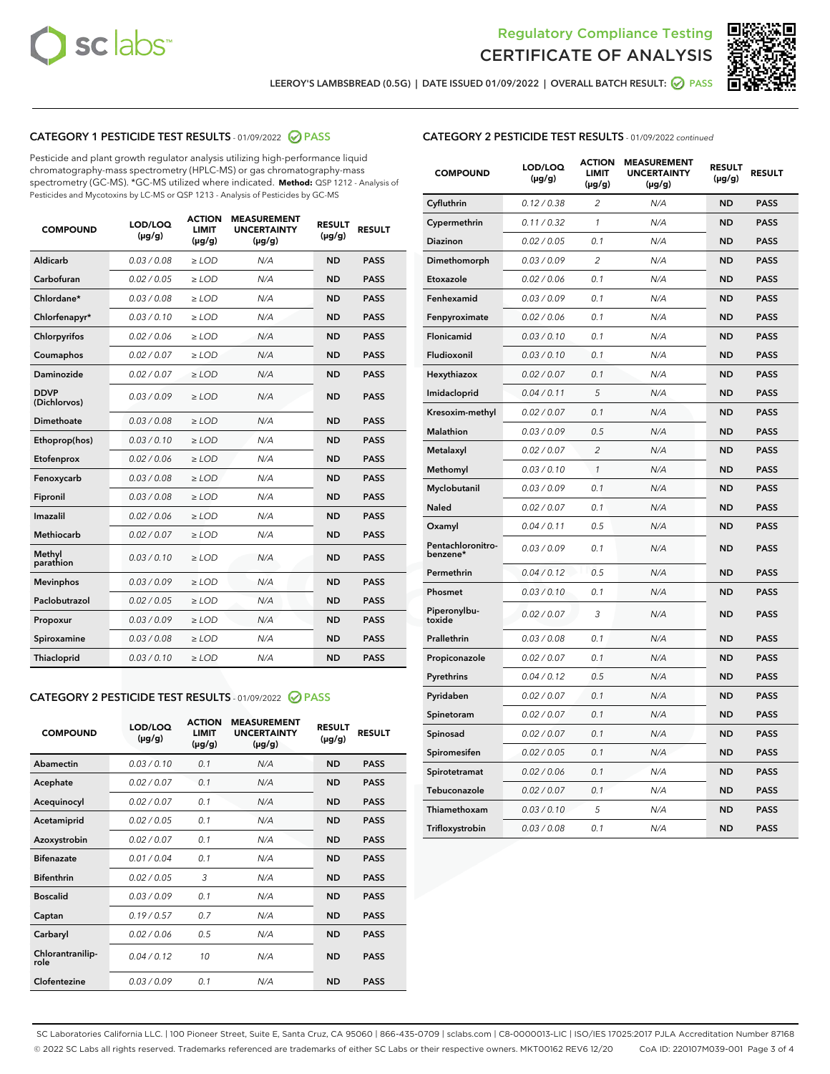



LEEROY'S LAMBSBREAD (0.5G) | DATE ISSUED 01/09/2022 | OVERALL BATCH RESULT: **⊘** PASS

# CATEGORY 1 PESTICIDE TEST RESULTS - 01/09/2022 2 PASS

Pesticide and plant growth regulator analysis utilizing high-performance liquid chromatography-mass spectrometry (HPLC-MS) or gas chromatography-mass spectrometry (GC-MS). \*GC-MS utilized where indicated. **Method:** QSP 1212 - Analysis of Pesticides and Mycotoxins by LC-MS or QSP 1213 - Analysis of Pesticides by GC-MS

| <b>COMPOUND</b>             | LOD/LOQ<br>$(\mu g/g)$ | <b>ACTION</b><br>LIMIT<br>$(\mu g/g)$ | <b>MEASUREMENT</b><br><b>UNCERTAINTY</b><br>$(\mu g/g)$ | <b>RESULT</b><br>$(\mu g/g)$ | <b>RESULT</b> |
|-----------------------------|------------------------|---------------------------------------|---------------------------------------------------------|------------------------------|---------------|
| <b>Aldicarb</b>             | 0.03/0.08              | $\ge$ LOD                             | N/A                                                     | <b>ND</b>                    | <b>PASS</b>   |
| Carbofuran                  | 0.02 / 0.05            | $>$ LOD                               | N/A                                                     | <b>ND</b>                    | <b>PASS</b>   |
| Chlordane*                  | 0.03 / 0.08            | $\ge$ LOD                             | N/A                                                     | <b>ND</b>                    | <b>PASS</b>   |
| Chlorfenapyr*               | 0.03/0.10              | $\ge$ LOD                             | N/A                                                     | <b>ND</b>                    | <b>PASS</b>   |
| Chlorpyrifos                | 0.02 / 0.06            | $\ge$ LOD                             | N/A                                                     | <b>ND</b>                    | <b>PASS</b>   |
| Coumaphos                   | 0.02 / 0.07            | $\ge$ LOD                             | N/A                                                     | <b>ND</b>                    | <b>PASS</b>   |
| Daminozide                  | 0.02/0.07              | $>$ LOD                               | N/A                                                     | <b>ND</b>                    | <b>PASS</b>   |
| <b>DDVP</b><br>(Dichlorvos) | 0.03/0.09              | $\geq$ LOD                            | N/A                                                     | <b>ND</b>                    | <b>PASS</b>   |
| <b>Dimethoate</b>           | 0.03 / 0.08            | $\ge$ LOD                             | N/A                                                     | <b>ND</b>                    | <b>PASS</b>   |
| Ethoprop(hos)               | 0.03/0.10              | $\geq$ LOD                            | N/A                                                     | <b>ND</b>                    | <b>PASS</b>   |
| Etofenprox                  | 0.02/0.06              | $>$ LOD                               | N/A                                                     | <b>ND</b>                    | <b>PASS</b>   |
| Fenoxycarb                  | 0.03 / 0.08            | $\geq$ LOD                            | N/A                                                     | <b>ND</b>                    | <b>PASS</b>   |
| Fipronil                    | 0.03/0.08              | $\ge$ LOD                             | N/A                                                     | <b>ND</b>                    | <b>PASS</b>   |
| Imazalil                    | 0.02 / 0.06            | $\ge$ LOD                             | N/A                                                     | <b>ND</b>                    | <b>PASS</b>   |
| Methiocarb                  | 0.02 / 0.07            | $\ge$ LOD                             | N/A                                                     | <b>ND</b>                    | <b>PASS</b>   |
| Methyl<br>parathion         | 0.03/0.10              | $\ge$ LOD                             | N/A                                                     | <b>ND</b>                    | <b>PASS</b>   |
| <b>Mevinphos</b>            | 0.03/0.09              | $>$ LOD                               | N/A                                                     | <b>ND</b>                    | <b>PASS</b>   |
| Paclobutrazol               | 0.02 / 0.05            | $\ge$ LOD                             | N/A                                                     | <b>ND</b>                    | <b>PASS</b>   |
| Propoxur                    | 0.03/0.09              | $\ge$ LOD                             | N/A                                                     | <b>ND</b>                    | <b>PASS</b>   |
| Spiroxamine                 | 0.03 / 0.08            | $\ge$ LOD                             | N/A                                                     | <b>ND</b>                    | <b>PASS</b>   |
| Thiacloprid                 | 0.03/0.10              | $\geq$ LOD                            | N/A                                                     | <b>ND</b>                    | <b>PASS</b>   |
|                             |                        |                                       |                                                         |                              |               |

### CATEGORY 2 PESTICIDE TEST RESULTS - 01/09/2022 2 PASS

| <b>COMPOUND</b>          | LOD/LOO<br>$(\mu g/g)$ | <b>ACTION</b><br>LIMIT<br>$(\mu g/g)$ | <b>MEASUREMENT</b><br><b>UNCERTAINTY</b><br>$(\mu g/g)$ | <b>RESULT</b><br>$(\mu g/g)$ | <b>RESULT</b> |
|--------------------------|------------------------|---------------------------------------|---------------------------------------------------------|------------------------------|---------------|
| Abamectin                | 0.03/0.10              | 0.1                                   | N/A                                                     | <b>ND</b>                    | <b>PASS</b>   |
| Acephate                 | 0.02/0.07              | 0.1                                   | N/A                                                     | <b>ND</b>                    | <b>PASS</b>   |
| Acequinocyl              | 0.02/0.07              | 0.1                                   | N/A                                                     | <b>ND</b>                    | <b>PASS</b>   |
| Acetamiprid              | 0.02/0.05              | 0.1                                   | N/A                                                     | <b>ND</b>                    | <b>PASS</b>   |
| Azoxystrobin             | 0.02/0.07              | 0.1                                   | N/A                                                     | <b>ND</b>                    | <b>PASS</b>   |
| <b>Bifenazate</b>        | 0.01/0.04              | 0.1                                   | N/A                                                     | <b>ND</b>                    | <b>PASS</b>   |
| <b>Bifenthrin</b>        | 0.02 / 0.05            | 3                                     | N/A                                                     | <b>ND</b>                    | <b>PASS</b>   |
| <b>Boscalid</b>          | 0.03/0.09              | 0.1                                   | N/A                                                     | <b>ND</b>                    | <b>PASS</b>   |
| Captan                   | 0.19/0.57              | 0.7                                   | N/A                                                     | <b>ND</b>                    | <b>PASS</b>   |
| Carbaryl                 | 0.02/0.06              | 0.5                                   | N/A                                                     | <b>ND</b>                    | <b>PASS</b>   |
| Chlorantranilip-<br>role | 0.04/0.12              | 10                                    | N/A                                                     | <b>ND</b>                    | <b>PASS</b>   |
| Clofentezine             | 0.03/0.09              | 0.1                                   | N/A                                                     | <b>ND</b>                    | <b>PASS</b>   |

| <b>COMPOUND</b>               | LOD/LOQ<br>(µg/g) | <b>ACTION</b><br><b>LIMIT</b><br>$(\mu g/g)$ | <b>MEASUREMENT</b><br><b>UNCERTAINTY</b><br>$(\mu g/g)$ | <b>RESULT</b><br>(µg/g) | <b>RESULT</b> |
|-------------------------------|-------------------|----------------------------------------------|---------------------------------------------------------|-------------------------|---------------|
| Cyfluthrin                    | 0.12 / 0.38       | $\overline{2}$                               | N/A                                                     | <b>ND</b>               | <b>PASS</b>   |
| Cypermethrin                  | 0.11 / 0.32       | 1                                            | N/A                                                     | <b>ND</b>               | <b>PASS</b>   |
| Diazinon                      | 0.02 / 0.05       | 0.1                                          | N/A                                                     | <b>ND</b>               | <b>PASS</b>   |
| Dimethomorph                  | 0.03/0.09         | $\overline{2}$                               | N/A                                                     | <b>ND</b>               | <b>PASS</b>   |
| Etoxazole                     | 0.02 / 0.06       | 0.1                                          | N/A                                                     | <b>ND</b>               | <b>PASS</b>   |
| Fenhexamid                    | 0.03 / 0.09       | 0.1                                          | N/A                                                     | <b>ND</b>               | <b>PASS</b>   |
| Fenpyroximate                 | 0.02 / 0.06       | 0.1                                          | N/A                                                     | <b>ND</b>               | <b>PASS</b>   |
| Flonicamid                    | 0.03 / 0.10       | 0.1                                          | N/A                                                     | <b>ND</b>               | <b>PASS</b>   |
| Fludioxonil                   | 0.03 / 0.10       | 0.1                                          | N/A                                                     | <b>ND</b>               | <b>PASS</b>   |
| Hexythiazox                   | 0.02 / 0.07       | 0.1                                          | N/A                                                     | <b>ND</b>               | <b>PASS</b>   |
| Imidacloprid                  | 0.04 / 0.11       | 5                                            | N/A                                                     | <b>ND</b>               | <b>PASS</b>   |
| Kresoxim-methyl               | 0.02 / 0.07       | 0.1                                          | N/A                                                     | <b>ND</b>               | <b>PASS</b>   |
| Malathion                     | 0.03 / 0.09       | 0.5                                          | N/A                                                     | <b>ND</b>               | <b>PASS</b>   |
| Metalaxyl                     | 0.02 / 0.07       | $\overline{c}$                               | N/A                                                     | <b>ND</b>               | <b>PASS</b>   |
| Methomyl                      | 0.03 / 0.10       | $\mathcal{I}$                                | N/A                                                     | <b>ND</b>               | <b>PASS</b>   |
| Myclobutanil                  | 0.03/0.09         | 0.1                                          | N/A                                                     | <b>ND</b>               | <b>PASS</b>   |
| Naled                         | 0.02 / 0.07       | 0.1                                          | N/A                                                     | ND                      | <b>PASS</b>   |
| Oxamyl                        | 0.04 / 0.11       | 0.5                                          | N/A                                                     | <b>ND</b>               | <b>PASS</b>   |
| Pentachloronitro-<br>benzene* | 0.03 / 0.09       | 0.1                                          | N/A                                                     | <b>ND</b>               | <b>PASS</b>   |
| Permethrin                    | 0.04/0.12         | 0.5                                          | N/A                                                     | <b>ND</b>               | <b>PASS</b>   |
| Phosmet                       | 0.03 / 0.10       | 0.1                                          | N/A                                                     | <b>ND</b>               | <b>PASS</b>   |
| Piperonylbu-<br>toxide        | 0.02 / 0.07       | 3                                            | N/A                                                     | <b>ND</b>               | <b>PASS</b>   |
| Prallethrin                   | 0.03 / 0.08       | 0.1                                          | N/A                                                     | <b>ND</b>               | <b>PASS</b>   |
| Propiconazole                 | 0.02 / 0.07       | 0.1                                          | N/A                                                     | <b>ND</b>               | <b>PASS</b>   |
| Pyrethrins                    | 0.04 / 0.12       | 0.5                                          | N/A                                                     | <b>ND</b>               | <b>PASS</b>   |
| Pyridaben                     | 0.02 / 0.07       | 0.1                                          | N/A                                                     | <b>ND</b>               | <b>PASS</b>   |
| Spinetoram                    | 0.02 / 0.07       | 0.1                                          | N/A                                                     | ND                      | <b>PASS</b>   |
| Spinosad                      | 0.02 / 0.07       | 0.1                                          | N/A                                                     | <b>ND</b>               | <b>PASS</b>   |
| Spiromesifen                  | 0.02 / 0.05       | 0.1                                          | N/A                                                     | <b>ND</b>               | <b>PASS</b>   |
| Spirotetramat                 | 0.02 / 0.06       | 0.1                                          | N/A                                                     | <b>ND</b>               | <b>PASS</b>   |
| Tebuconazole                  | 0.02 / 0.07       | 0.1                                          | N/A                                                     | <b>ND</b>               | <b>PASS</b>   |
| Thiamethoxam                  | 0.03 / 0.10       | 5                                            | N/A                                                     | <b>ND</b>               | <b>PASS</b>   |
| Trifloxystrobin               | 0.03 / 0.08       | 0.1                                          | N/A                                                     | <b>ND</b>               | <b>PASS</b>   |

SC Laboratories California LLC. | 100 Pioneer Street, Suite E, Santa Cruz, CA 95060 | 866-435-0709 | sclabs.com | C8-0000013-LIC | ISO/IES 17025:2017 PJLA Accreditation Number 87168 © 2022 SC Labs all rights reserved. Trademarks referenced are trademarks of either SC Labs or their respective owners. MKT00162 REV6 12/20 CoA ID: 220107M039-001 Page 3 of 4